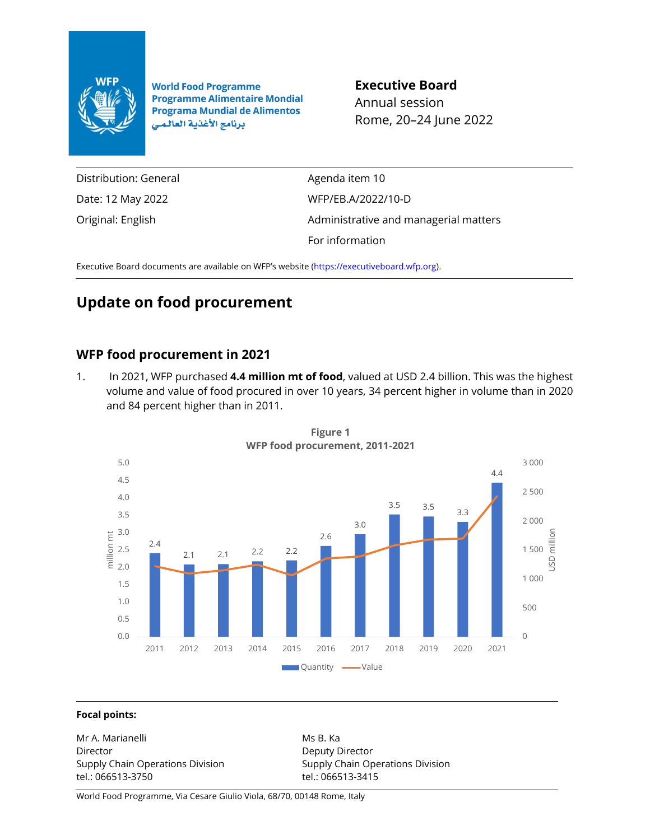

**World Food Programme Programme Alimentaire Mondial Programa Mundial de Alimentos** برنامج الأغذية العالمي

**Executive Board**

Annual session Rome, 20–24 June 2022

Distribution: General Date: 12 May 2022 Original: English

Agenda item 10 WFP/EB.A/2022/10-D Administrative and managerial matters For information

Executive Board documents are available on WFP's website [\(https://executiveboard.wfp.org\)](https://executiveboard.wfp.org/).

# **Update on food procurement**

## **WFP food procurement in 2021**

1. In 2021, WFP purchased **4.4 million mt of food**, valued at USD 2.4 billion. This was the highest volume and value of food procured in over 10 years, 34 percent higher in volume than in 2020 and 84 percent higher than in 2011.



**Figure 1 WFP food procurement, 2011-2021**

#### **Focal points:**

Mr A. Marianelli Director Supply Chain Operations Division tel.: 066513-3750

Ms B. Ka Deputy Director Supply Chain Operations Division tel.: 066513-3415

World Food Programme, Via Cesare Giulio Viola, 68/70, 00148 Rome, Italy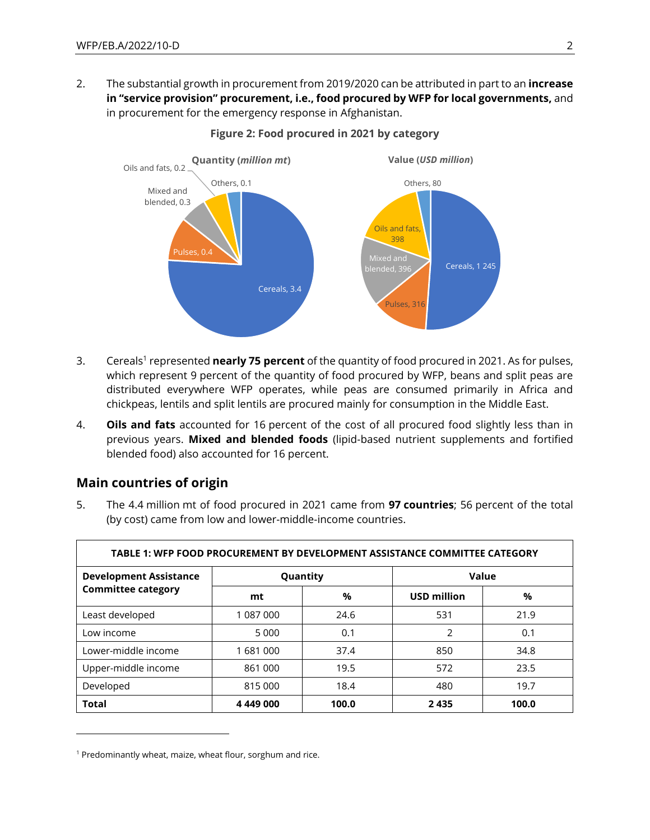2. The substantial growth in procurement from 2019/2020 can be attributed in part to an **increase in "service provision" procurement, i.e., food procured by WFP for local governments,** and in procurement for the emergency response in Afghanistan.



#### **Figure 2: Food procured in 2021 by category**

- 3. Cereals<sup>1</sup> represented **nearly 75 percent** of the quantity of food procured in 2021. As for pulses, which represent 9 percent of the quantity of food procured by WFP, beans and split peas are distributed everywhere WFP operates, while peas are consumed primarily in Africa and chickpeas, lentils and split lentils are procured mainly for consumption in the Middle East.
- 4. **Oils and fats** accounted for 16 percent of the cost of all procured food slightly less than in previous years. **Mixed and blended foods** (lipid-based nutrient supplements and fortified blended food) also accounted for 16 percent.

### **Main countries of origin**

5. The 4.4 million mt of food procured in 2021 came from **97 countries**; 56 percent of the total (by cost) came from low and lower-middle-income countries.

| TABLE 1: WFP FOOD PROCUREMENT BY DEVELOPMENT ASSISTANCE COMMITTEE CATEGORY |           |       |                    |       |  |
|----------------------------------------------------------------------------|-----------|-------|--------------------|-------|--|
| <b>Development Assistance</b><br><b>Committee category</b>                 | Quantity  |       | Value              |       |  |
|                                                                            | mt        | %     | <b>USD million</b> | %     |  |
| Least developed                                                            | 1 087 000 | 24.6  | 531                | 21.9  |  |
| Low income                                                                 | 5 0 0 0   | 0.1   | 2                  | 0.1   |  |
| Lower-middle income                                                        | 1681000   | 37.4  | 850                | 34.8  |  |
| Upper-middle income                                                        | 861 000   | 19.5  | 572                | 23.5  |  |
| Developed                                                                  | 815 000   | 18.4  | 480                | 19.7  |  |
| <b>Total</b>                                                               | 4 449 000 | 100.0 | 2435               | 100.0 |  |

<sup>&</sup>lt;sup>1</sup> Predominantly wheat, maize, wheat flour, sorghum and rice.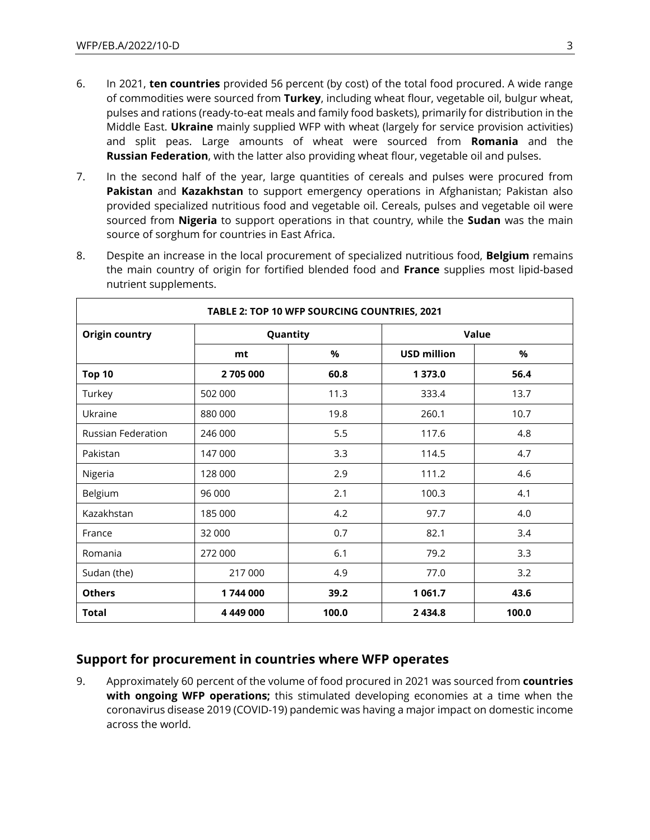- 6. In 2021, **ten countries** provided 56 percent (by cost) of the total food procured. A wide range of commodities were sourced from **Turkey**, including wheat flour, vegetable oil, bulgur wheat, pulses and rations (ready-to-eat meals and family food baskets), primarily for distribution in the Middle East. **Ukraine** mainly supplied WFP with wheat (largely for service provision activities) and split peas. Large amounts of wheat were sourced from **Romania** and the **Russian Federation**, with the latter also providing wheat flour, vegetable oil and pulses.
- 7. In the second half of the year, large quantities of cereals and pulses were procured from **Pakistan** and **Kazakhstan** to support emergency operations in Afghanistan; Pakistan also provided specialized nutritious food and vegetable oil. Cereals, pulses and vegetable oil were sourced from **Nigeria** to support operations in that country, while the **Sudan** was the main source of sorghum for countries in East Africa.
- 8. Despite an increase in the local procurement of specialized nutritious food, **Belgium** remains the main country of origin for fortified blended food and **France** supplies most lipid-based nutrient supplements.

| TABLE 2: TOP 10 WFP SOURCING COUNTRIES, 2021 |           |       |                    |       |
|----------------------------------------------|-----------|-------|--------------------|-------|
| <b>Origin country</b>                        | Quantity  |       | Value              |       |
|                                              | mt        | %     | <b>USD million</b> | %     |
| <b>Top 10</b>                                | 2705000   | 60.8  | 1 373.0            | 56.4  |
| Turkey                                       | 502 000   | 11.3  | 333.4              | 13.7  |
| Ukraine                                      | 880 000   | 19.8  | 260.1              | 10.7  |
| Russian Federation                           | 246 000   | 5.5   | 117.6              | 4.8   |
| Pakistan                                     | 147 000   | 3.3   | 114.5              | 4.7   |
| Nigeria                                      | 128 000   | 2.9   | 111.2              | 4.6   |
| Belgium                                      | 96 000    | 2.1   | 100.3              | 4.1   |
| Kazakhstan                                   | 185 000   | 4.2   | 97.7               | 4.0   |
| France                                       | 32 000    | 0.7   | 82.1               | 3.4   |
| Romania                                      | 272 000   | 6.1   | 79.2               | 3.3   |
| Sudan (the)                                  | 217 000   | 4.9   | 77.0               | 3.2   |
| <b>Others</b>                                | 1744 000  | 39.2  | 1 0 6 1 . 7        | 43.6  |
| <b>Total</b>                                 | 4 449 000 | 100.0 | 2 4 3 4 . 8        | 100.0 |

### **Support for procurement in countries where WFP operates**

9. Approximately 60 percent of the volume of food procured in 2021 was sourced from **countries with ongoing WFP operations;** this stimulated developing economies at a time when the coronavirus disease 2019 (COVID-19) pandemic was having a major impact on domestic income across the world.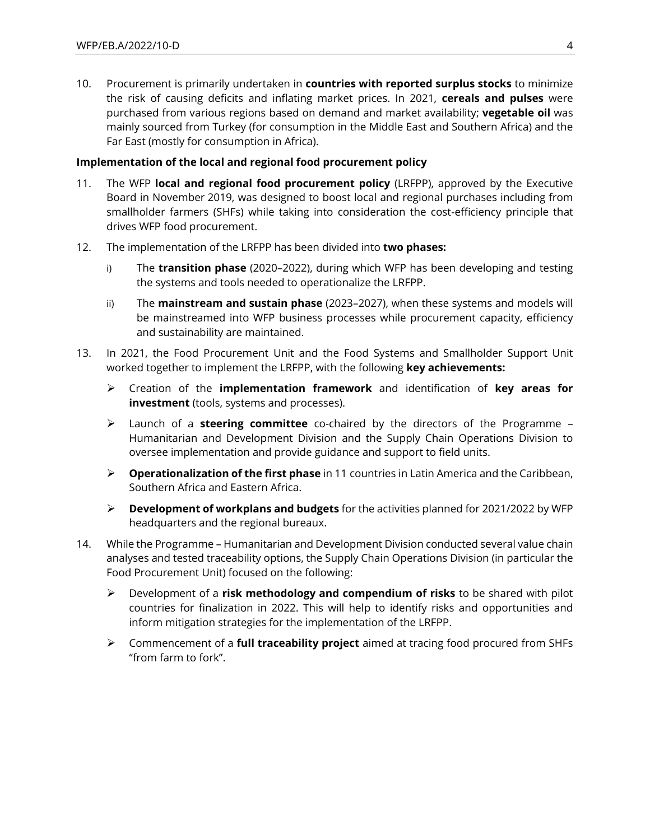10. Procurement is primarily undertaken in **countries with reported surplus stocks** to minimize the risk of causing deficits and inflating market prices. In 2021, **cereals and pulses** were purchased from various regions based on demand and market availability; **vegetable oil** was mainly sourced from Turkey (for consumption in the Middle East and Southern Africa) and the Far East (mostly for consumption in Africa).

#### **Implementation of the local and regional food procurement policy**

- 11. The WFP **local and regional food procurement policy** (LRFPP), approved by the Executive Board in November 2019, was designed to boost local and regional purchases including from smallholder farmers (SHFs) while taking into consideration the cost-efficiency principle that drives WFP food procurement.
- 12. The implementation of the LRFPP has been divided into **two phases:**
	- i) The **transition phase** (2020–2022), during which WFP has been developing and testing the systems and tools needed to operationalize the LRFPP.
	- ii) The **mainstream and sustain phase** (2023–2027), when these systems and models will be mainstreamed into WFP business processes while procurement capacity, efficiency and sustainability are maintained.
- 13. In 2021, the Food Procurement Unit and the Food Systems and Smallholder Support Unit worked together to implement the LRFPP, with the following **key achievements:**
	- ➢ Creation of the **implementation framework** and identification of **key areas for investment** (tools, systems and processes).
	- ➢ Launch of a **steering committee** co-chaired by the directors of the Programme Humanitarian and Development Division and the Supply Chain Operations Division to oversee implementation and provide guidance and support to field units.
	- ➢ **Operationalization of the first phase** in 11 countries in Latin America and the Caribbean, Southern Africa and Eastern Africa.
	- ➢ **Development of workplans and budgets** for the activities planned for 2021/2022 by WFP headquarters and the regional bureaux.
- 14. While the Programme Humanitarian and Development Division conducted several value chain analyses and tested traceability options, the Supply Chain Operations Division (in particular the Food Procurement Unit) focused on the following:
	- ➢ Development of a **risk methodology and compendium of risks** to be shared with pilot countries for finalization in 2022. This will help to identify risks and opportunities and inform mitigation strategies for the implementation of the LRFPP.
	- ➢ Commencement of a **full traceability project** aimed at tracing food procured from SHFs "from farm to fork".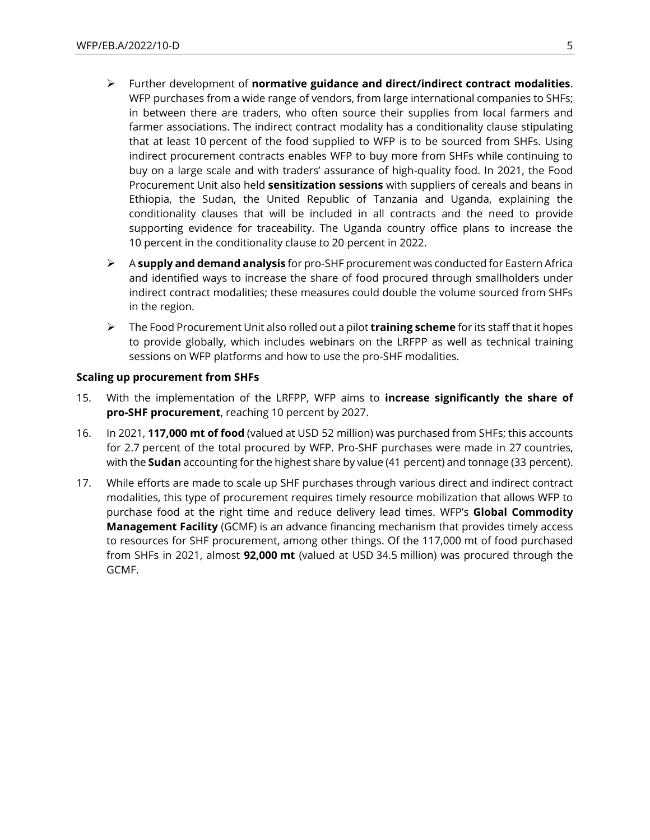- ➢ Further development of **normative guidance and direct/indirect contract modalities**. WFP purchases from a wide range of vendors, from large international companies to SHFs; in between there are traders, who often source their supplies from local farmers and farmer associations. The indirect contract modality has a conditionality clause stipulating that at least 10 percent of the food supplied to WFP is to be sourced from SHFs. Using indirect procurement contracts enables WFP to buy more from SHFs while continuing to buy on a large scale and with traders' assurance of high-quality food. In 2021, the Food Procurement Unit also held **sensitization sessions** with suppliers of cereals and beans in Ethiopia, the Sudan, the United Republic of Tanzania and Uganda, explaining the conditionality clauses that will be included in all contracts and the need to provide supporting evidence for traceability. The Uganda country office plans to increase the 10 percent in the conditionality clause to 20 percent in 2022.
- ➢ A **supply and demand analysis** for pro-SHF procurement was conducted for Eastern Africa and identified ways to increase the share of food procured through smallholders under indirect contract modalities; these measures could double the volume sourced from SHFs in the region.
- ➢ The Food Procurement Unit also rolled out a pilot **training scheme** for its staff that it hopes to provide globally, which includes webinars on the LRFPP as well as technical training sessions on WFP platforms and how to use the pro-SHF modalities.

#### **Scaling up procurement from SHFs**

- 15. With the implementation of the LRFPP, WFP aims to **increase significantly the share of pro-SHF procurement**, reaching 10 percent by 2027.
- 16. In 2021, **117,000 mt of food** (valued at USD 52 million) was purchased from SHFs; this accounts for 2.7 percent of the total procured by WFP. Pro-SHF purchases were made in 27 countries, with the **Sudan** accounting for the highest share by value (41 percent) and tonnage (33 percent).
- 17. While efforts are made to scale up SHF purchases through various direct and indirect contract modalities, this type of procurement requires timely resource mobilization that allows WFP to purchase food at the right time and reduce delivery lead times. WFP's **Global Commodity Management Facility** (GCMF) is an advance financing mechanism that provides timely access to resources for SHF procurement, among other things. Of the 117,000 mt of food purchased from SHFs in 2021, almost **92,000 mt** (valued at USD 34.5 million) was procured through the GCMF.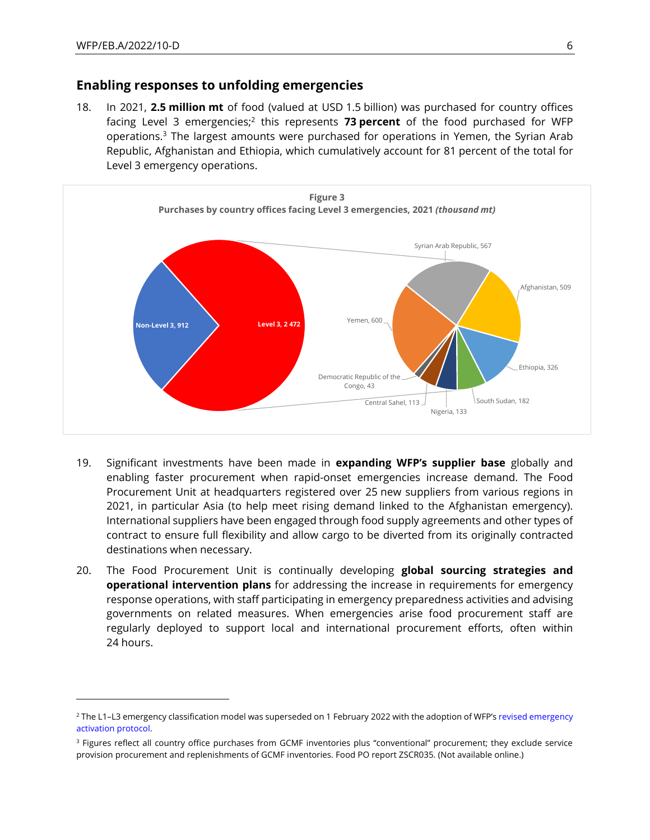#### **Enabling responses to unfolding emergencies**

18. In 2021, **2.5 million mt** of food (valued at USD 1.5 billion) was purchased for country offices facing Level 3 emergencies;<sup>2</sup> this represents 73 percent of the food purchased for WFP operations.<sup>3</sup> The largest amounts were purchased for operations in Yemen, the Syrian Arab Republic, Afghanistan and Ethiopia, which cumulatively account for 81 percent of the total for Level 3 emergency operations.



- 19. Significant investments have been made in **expanding WFP's supplier base** globally and enabling faster procurement when rapid-onset emergencies increase demand. The Food Procurement Unit at headquarters registered over 25 new suppliers from various regions in 2021, in particular Asia (to help meet rising demand linked to the Afghanistan emergency). International suppliers have been engaged through food supply agreements and other types of contract to ensure full flexibility and allow cargo to be diverted from its originally contracted destinations when necessary.
- 20. The Food Procurement Unit is continually developing **global sourcing strategies and operational intervention plans** for addressing the increase in requirements for emergency response operations, with staff participating in emergency preparedness activities and advising governments on related measures. When emergencies arise food procurement staff are regularly deployed to support local and international procurement efforts, often within 24 hours.

<sup>&</sup>lt;sup>2</sup> The L1-L3 emergency classification model was superseded on 1 February 2022 with the adoption of WFP's revised emergency [activation protocol.](https://opweb.wfp.org/news/26)

<sup>&</sup>lt;sup>3</sup> Figures reflect all country office purchases from GCMF inventories plus "conventional" procurement; they exclude service provision procurement and replenishments of GCMF inventories. Food PO report ZSCR035. (Not available online.)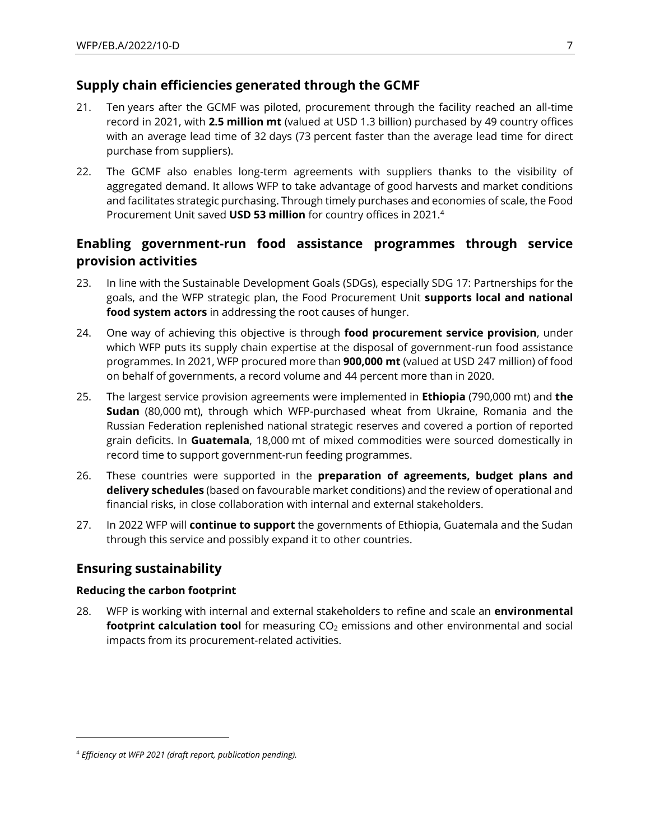### **Supply chain efficiencies generated through the GCMF**

- 21. Ten years after the GCMF was piloted, procurement through the facility reached an all-time record in 2021, with **2.5 million mt** (valued at USD 1.3 billion) purchased by 49 country offices with an average lead time of 32 days (73 percent faster than the average lead time for direct purchase from suppliers).
- 22. The GCMF also enables long-term agreements with suppliers thanks to the visibility of aggregated demand. It allows WFP to take advantage of good harvests and market conditions and facilitates strategic purchasing. Through timely purchases and economies of scale, the Food Procurement Unit saved **USD 53 million** for country offices in 2021.<sup>4</sup>

# **Enabling government-run food assistance programmes through service provision activities**

- 23. In line with the Sustainable Development Goals (SDGs), especially SDG 17: Partnerships for the goals, and the WFP strategic plan, the Food Procurement Unit **supports local and national food system actors** in addressing the root causes of hunger.
- 24. One way of achieving this objective is through **food procurement service provision**, under which WFP puts its supply chain expertise at the disposal of government-run food assistance programmes. In 2021, WFP procured more than **900,000 mt** (valued at USD 247 million) of food on behalf of governments, a record volume and 44 percent more than in 2020.
- 25. The largest service provision agreements were implemented in **Ethiopia** (790,000 mt) and **the Sudan** (80,000 mt), through which WFP-purchased wheat from Ukraine, Romania and the Russian Federation replenished national strategic reserves and covered a portion of reported grain deficits. In **Guatemala**, 18,000 mt of mixed commodities were sourced domestically in record time to support government-run feeding programmes.
- 26. These countries were supported in the **preparation of agreements, budget plans and delivery schedules** (based on favourable market conditions) and the review of operational and financial risks, in close collaboration with internal and external stakeholders.
- 27. In 2022 WFP will **continue to support** the governments of Ethiopia, Guatemala and the Sudan through this service and possibly expand it to other countries.

### **Ensuring sustainability**

### **Reducing the carbon footprint**

28. WFP is working with internal and external stakeholders to refine and scale an **environmental footprint calculation tool** for measuring CO<sub>2</sub> emissions and other environmental and social impacts from its procurement-related activities.

<sup>4</sup> *Efficiency at WFP 2021 (draft report, publication pending).*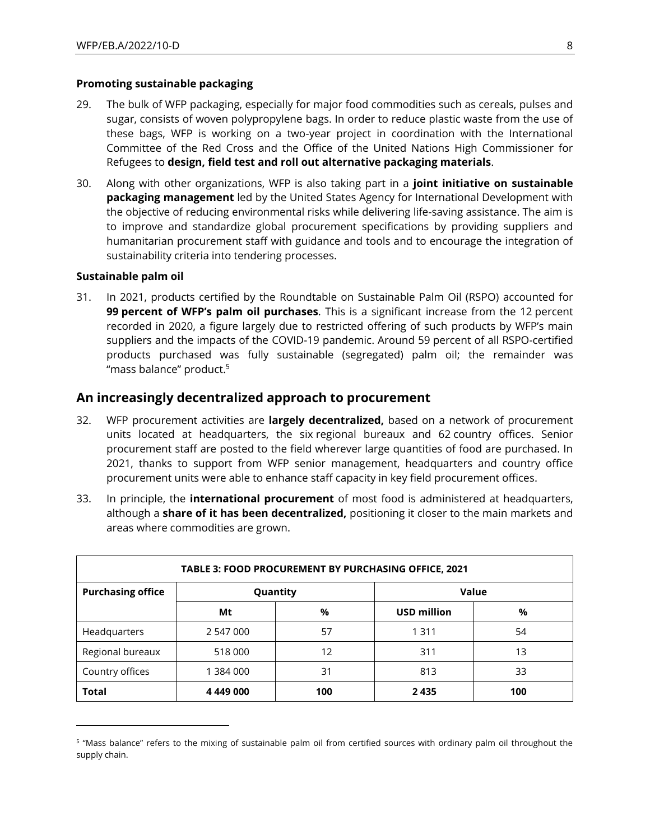#### **Promoting sustainable packaging**

- 29. The bulk of WFP packaging, especially for major food commodities such as cereals, pulses and sugar, consists of woven polypropylene bags. In order to reduce plastic waste from the use of these bags, WFP is working on a two-year project in coordination with the International Committee of the Red Cross and the Office of the United Nations High Commissioner for Refugees to **design, field test and roll out alternative packaging materials**.
- 30. Along with other organizations, WFP is also taking part in a **joint initiative on sustainable packaging management** led by the United States Agency for International Development with the objective of reducing environmental risks while delivering life-saving assistance. The aim is to improve and standardize global procurement specifications by providing suppliers and humanitarian procurement staff with guidance and tools and to encourage the integration of sustainability criteria into tendering processes.

#### **Sustainable palm oil**

31. In 2021, products certified by the Roundtable on Sustainable Palm Oil (RSPO) accounted for **99 percent of WFP's palm oil purchases**. This is a significant increase from the 12 percent recorded in 2020, a figure largely due to restricted offering of such products by WFP's main suppliers and the impacts of the COVID-19 pandemic. Around 59 percent of all RSPO-certified products purchased was fully sustainable (segregated) palm oil; the remainder was "mass balance" product.<sup>5</sup>

#### **An increasingly decentralized approach to procurement**

- 32. WFP procurement activities are **largely decentralized,** based on a network of procurement units located at headquarters, the six regional bureaux and 62 country offices. Senior procurement staff are posted to the field wherever large quantities of food are purchased. In 2021, thanks to support from WFP senior management, headquarters and country office procurement units were able to enhance staff capacity in key field procurement offices.
- 33. In principle, the **international procurement** of most food is administered at headquarters, although a **share of it has been decentralized,** positioning it closer to the main markets and areas where commodities are grown.

| <b>TABLE 3: FOOD PROCUREMENT BY PURCHASING OFFICE, 2021</b> |           |     |                    |     |
|-------------------------------------------------------------|-----------|-----|--------------------|-----|
| <b>Purchasing office</b>                                    | Quantity  |     | Value              |     |
|                                                             | Mt        | %   | <b>USD million</b> | %   |
| Headquarters                                                | 2 547 000 | 57  | 1 3 1 1            | 54  |
| Regional bureaux                                            | 518 000   | 12  | 311                | 13  |
| Country offices                                             | 384 000   | 31  | 813                | 33  |
| <b>Total</b>                                                | 4 449 000 | 100 | 2435               | 100 |

<sup>&</sup>lt;sup>5</sup> "Mass balance" refers to the mixing of sustainable palm oil from certified sources with ordinary palm oil throughout the supply chain.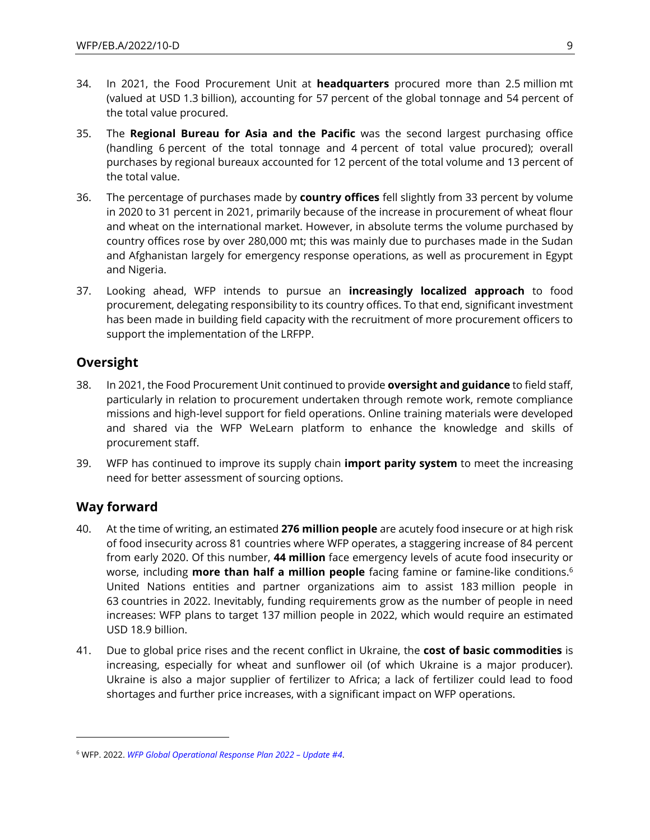- 34. In 2021, the Food Procurement Unit at **headquarters** procured more than 2.5 million mt (valued at USD 1.3 billion), accounting for 57 percent of the global tonnage and 54 percent of the total value procured.
- 35. The **Regional Bureau for Asia and the Pacific** was the second largest purchasing office (handling 6 percent of the total tonnage and 4 percent of total value procured); overall purchases by regional bureaux accounted for 12 percent of the total volume and 13 percent of the total value.
- 36. The percentage of purchases made by **country offices** fell slightly from 33 percent by volume in 2020 to 31 percent in 2021, primarily because of the increase in procurement of wheat flour and wheat on the international market. However, in absolute terms the volume purchased by country offices rose by over 280,000 mt; this was mainly due to purchases made in the Sudan and Afghanistan largely for emergency response operations, as well as procurement in Egypt and Nigeria.
- 37. Looking ahead, WFP intends to pursue an **increasingly localized approach** to food procurement, delegating responsibility to its country offices. To that end, significant investment has been made in building field capacity with the recruitment of more procurement officers to support the implementation of the LRFPP.

### **Oversight**

- 38. In 2021, the Food Procurement Unit continued to provide **oversight and guidance** to field staff, particularly in relation to procurement undertaken through remote work, remote compliance missions and high-level support for field operations. Online training materials were developed and shared via the WFP WeLearn platform to enhance the knowledge and skills of procurement staff.
- 39. WFP has continued to improve its supply chain **import parity system** to meet the increasing need for better assessment of sourcing options.

### **Way forward**

- 40. At the time of writing, an estimated **276 million people** are acutely food insecure or at high risk of food insecurity across 81 countries where WFP operates, a staggering increase of 84 percent from early 2020. Of this number, **44 million** face emergency levels of acute food insecurity or worse, including **more than half a million people** facing famine or famine-like conditions.<sup>6</sup> United Nations entities and partner organizations aim to assist 183 million people in 63 countries in 2022. Inevitably, funding requirements grow as the number of people in need increases: WFP plans to target 137 million people in 2022, which would require an estimated USD 18.9 billion.
- 41. Due to global price rises and the recent conflict in Ukraine, the **cost of basic commodities** is increasing, especially for wheat and sunflower oil (of which Ukraine is a major producer). Ukraine is also a major supplier of fertilizer to Africa; a lack of fertilizer could lead to food shortages and further price increases, with a significant impact on WFP operations.

<sup>6</sup> WFP. 2022. *[WFP Global Operational Response](https://docs.wfp.org/api/documents/WFP-0000136949/download/) Plan 2022 – Update #4*.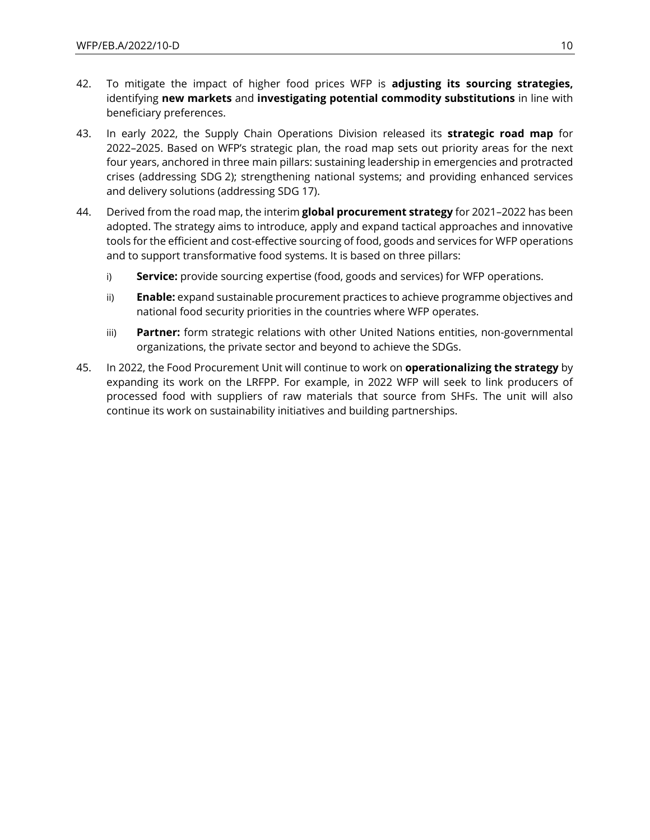- 42. To mitigate the impact of higher food prices WFP is **adjusting its sourcing strategies,** identifying **new markets** and **investigating potential commodity substitutions** in line with beneficiary preferences.
- 43. In early 2022, the Supply Chain Operations Division released its **strategic road map** for 2022–2025. Based on WFP's strategic plan, the road map sets out priority areas for the next four years, anchored in three main pillars: sustaining leadership in emergencies and protracted crises (addressing SDG 2); strengthening national systems; and providing enhanced services and delivery solutions (addressing SDG 17).
- 44. Derived from the road map, the interim **global procurement strategy** for 2021–2022 has been adopted. The strategy aims to introduce, apply and expand tactical approaches and innovative tools for the efficient and cost-effective sourcing of food, goods and services for WFP operations and to support transformative food systems. It is based on three pillars:
	- i) **Service:** provide sourcing expertise (food, goods and services) for WFP operations.
	- ii) **Enable:** expand sustainable procurement practices to achieve programme objectives and national food security priorities in the countries where WFP operates.
	- iii) **Partner:** form strategic relations with other United Nations entities, non-governmental organizations, the private sector and beyond to achieve the SDGs.
- 45. In 2022, the Food Procurement Unit will continue to work on **operationalizing the strategy** by expanding its work on the LRFPP. For example, in 2022 WFP will seek to link producers of processed food with suppliers of raw materials that source from SHFs. The unit will also continue its work on sustainability initiatives and building partnerships.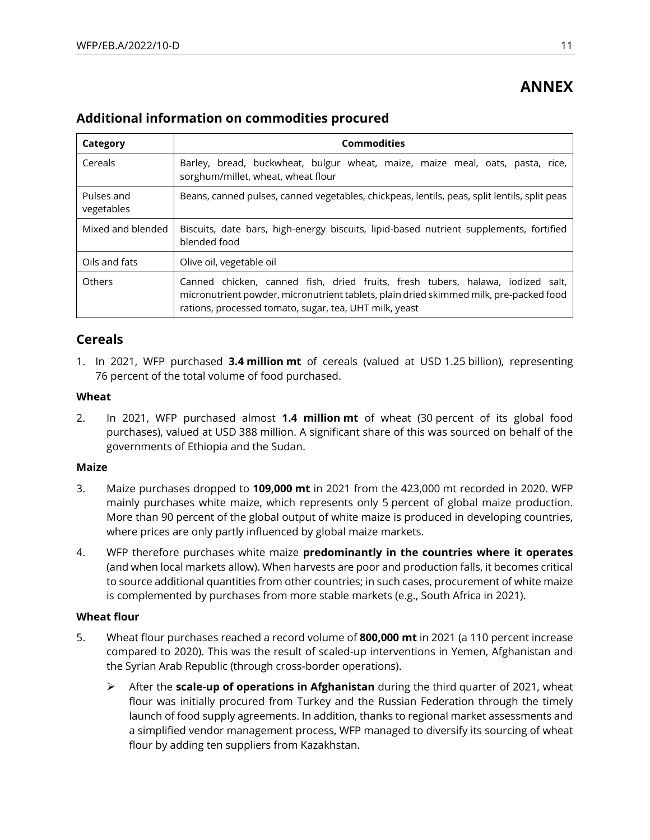# **ANNEX**

### **Additional information on commodities procured**

| Category                 | <b>Commodities</b>                                                                                                                                                                                                                 |
|--------------------------|------------------------------------------------------------------------------------------------------------------------------------------------------------------------------------------------------------------------------------|
| Cereals                  | Barley, bread, buckwheat, bulgur wheat, maize, maize meal, oats, pasta, rice,<br>sorghum/millet, wheat, wheat flour                                                                                                                |
| Pulses and<br>vegetables | Beans, canned pulses, canned vegetables, chickpeas, lentils, peas, split lentils, split peas                                                                                                                                       |
| Mixed and blended        | Biscuits, date bars, high-energy biscuits, lipid-based nutrient supplements, fortified<br>blended food                                                                                                                             |
| Oils and fats            | Olive oil, vegetable oil                                                                                                                                                                                                           |
| Others                   | Canned chicken, canned fish, dried fruits, fresh tubers, halawa, iodized salt,<br>micronutrient powder, micronutrient tablets, plain dried skimmed milk, pre-packed food<br>rations, processed tomato, sugar, tea, UHT milk, yeast |

### **Cereals**

1. In 2021, WFP purchased **3.4 million mt** of cereals (valued at USD 1.25 billion), representing 76 percent of the total volume of food purchased.

#### **Wheat**

2. In 2021, WFP purchased almost **1.4 million mt** of wheat (30 percent of its global food purchases), valued at USD 388 million. A significant share of this was sourced on behalf of the governments of Ethiopia and the Sudan.

#### **Maize**

- 3. Maize purchases dropped to **109,000 mt** in 2021 from the 423,000 mt recorded in 2020. WFP mainly purchases white maize, which represents only 5 percent of global maize production. More than 90 percent of the global output of white maize is produced in developing countries, where prices are only partly influenced by global maize markets.
- 4. WFP therefore purchases white maize **predominantly in the countries where it operates** (and when local markets allow). When harvests are poor and production falls, it becomes critical to source additional quantities from other countries; in such cases, procurement of white maize is complemented by purchases from more stable markets (e.g., South Africa in 2021).

#### **Wheat flour**

- 5. Wheat flour purchases reached a record volume of **800,000 mt** in 2021 (a 110 percent increase compared to 2020). This was the result of scaled-up interventions in Yemen, Afghanistan and the Syrian Arab Republic (through cross-border operations).
	- ➢ After the **scale-up of operations in Afghanistan** during the third quarter of 2021, wheat flour was initially procured from Turkey and the Russian Federation through the timely launch of food supply agreements. In addition, thanks to regional market assessments and a simplified vendor management process, WFP managed to diversify its sourcing of wheat flour by adding ten suppliers from Kazakhstan.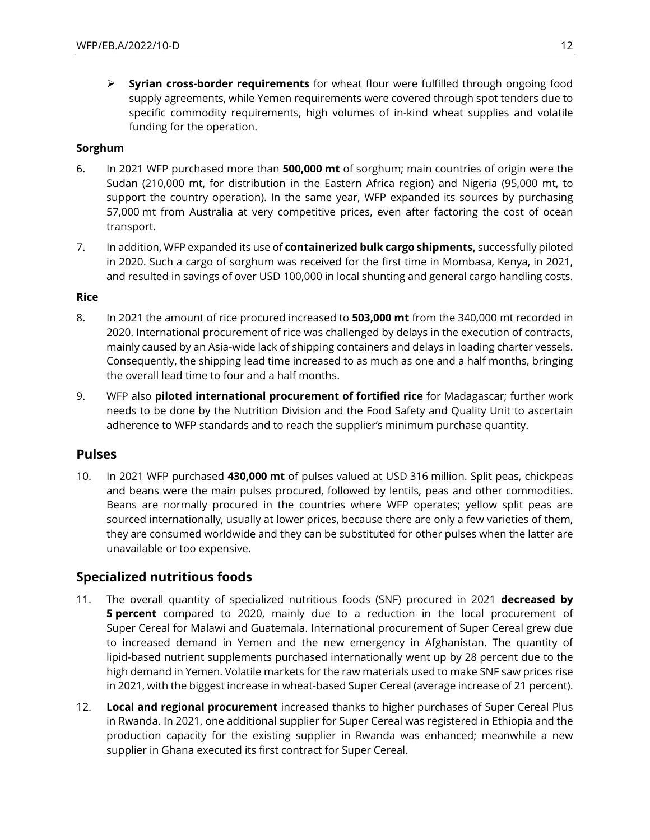➢ **Syrian cross-border requirements** for wheat flour were fulfilled through ongoing food supply agreements, while Yemen requirements were covered through spot tenders due to specific commodity requirements, high volumes of in-kind wheat supplies and volatile funding for the operation.

#### **Sorghum**

- 6. In 2021 WFP purchased more than **500,000 mt** of sorghum; main countries of origin were the Sudan (210,000 mt, for distribution in the Eastern Africa region) and Nigeria (95,000 mt, to support the country operation). In the same year, WFP expanded its sources by purchasing 57,000 mt from Australia at very competitive prices, even after factoring the cost of ocean transport.
- 7. In addition, WFP expanded its use of **containerized bulk cargo shipments,** successfully piloted in 2020. Such a cargo of sorghum was received for the first time in Mombasa, Kenya, in 2021, and resulted in savings of over USD 100,000 in local shunting and general cargo handling costs.

#### **Rice**

- 8. In 2021 the amount of rice procured increased to **503,000 mt** from the 340,000 mt recorded in 2020. International procurement of rice was challenged by delays in the execution of contracts, mainly caused by an Asia-wide lack of shipping containers and delays in loading charter vessels. Consequently, the shipping lead time increased to as much as one and a half months, bringing the overall lead time to four and a half months.
- 9. WFP also **piloted international procurement of fortified rice** for Madagascar; further work needs to be done by the Nutrition Division and the Food Safety and Quality Unit to ascertain adherence to WFP standards and to reach the supplier's minimum purchase quantity.

### **Pulses**

10. In 2021 WFP purchased **430,000 mt** of pulses valued at USD 316 million. Split peas, chickpeas and beans were the main pulses procured, followed by lentils, peas and other commodities. Beans are normally procured in the countries where WFP operates; yellow split peas are sourced internationally, usually at lower prices, because there are only a few varieties of them, they are consumed worldwide and they can be substituted for other pulses when the latter are unavailable or too expensive.

### **Specialized nutritious foods**

- 11. The overall quantity of specialized nutritious foods (SNF) procured in 2021 **decreased by 5 percent** compared to 2020, mainly due to a reduction in the local procurement of Super Cereal for Malawi and Guatemala. International procurement of Super Cereal grew due to increased demand in Yemen and the new emergency in Afghanistan. The quantity of lipid-based nutrient supplements purchased internationally went up by 28 percent due to the high demand in Yemen. Volatile markets for the raw materials used to make SNF saw prices rise in 2021, with the biggest increase in wheat-based Super Cereal (average increase of 21 percent).
- 12. **Local and regional procurement** increased thanks to higher purchases of Super Cereal Plus in Rwanda. In 2021, one additional supplier for Super Cereal was registered in Ethiopia and the production capacity for the existing supplier in Rwanda was enhanced; meanwhile a new supplier in Ghana executed its first contract for Super Cereal.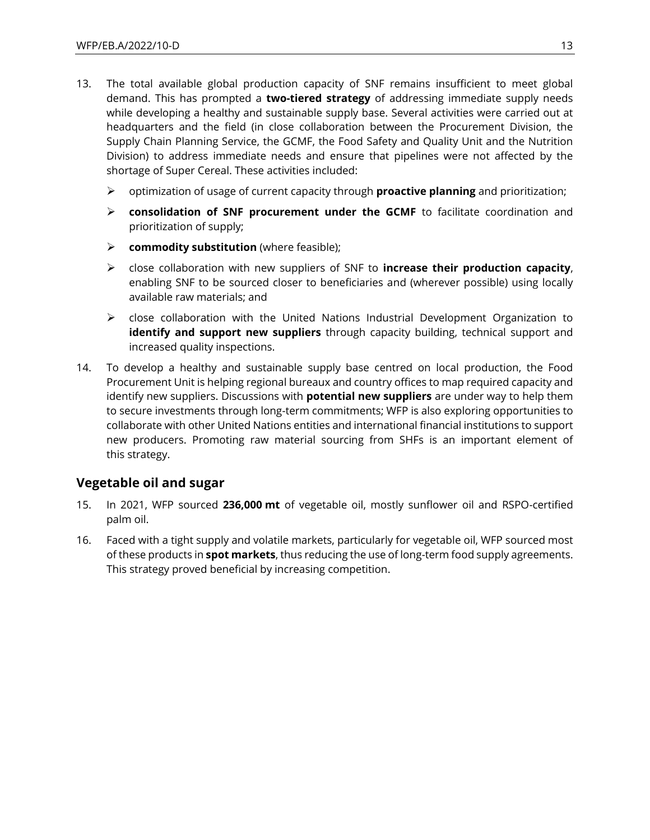- 13. The total available global production capacity of SNF remains insufficient to meet global demand. This has prompted a **two-tiered strategy** of addressing immediate supply needs while developing a healthy and sustainable supply base. Several activities were carried out at headquarters and the field (in close collaboration between the Procurement Division, the Supply Chain Planning Service, the GCMF, the Food Safety and Quality Unit and the Nutrition Division) to address immediate needs and ensure that pipelines were not affected by the shortage of Super Cereal. These activities included:
	- ➢ optimization of usage of current capacity through **proactive planning** and prioritization;
	- ➢ **consolidation of SNF procurement under the GCMF** to facilitate coordination and prioritization of supply;
	- ➢ **commodity substitution** (where feasible);
	- ➢ close collaboration with new suppliers of SNF to **increase their production capacity**, enabling SNF to be sourced closer to beneficiaries and (wherever possible) using locally available raw materials; and
	- $\triangleright$  close collaboration with the United Nations Industrial Development Organization to **identify and support new suppliers** through capacity building, technical support and increased quality inspections.
- 14. To develop a healthy and sustainable supply base centred on local production, the Food Procurement Unit is helping regional bureaux and country offices to map required capacity and identify new suppliers. Discussions with **potential new suppliers** are under way to help them to secure investments through long-term commitments; WFP is also exploring opportunities to collaborate with other United Nations entities and international financial institutions to support new producers. Promoting raw material sourcing from SHFs is an important element of this strategy.

### **Vegetable oil and sugar**

- 15. In 2021, WFP sourced **236,000 mt** of vegetable oil, mostly sunflower oil and RSPO-certified palm oil.
- 16. Faced with a tight supply and volatile markets, particularly for vegetable oil, WFP sourced most of these products in **spot markets**, thus reducing the use of long-term food supply agreements. This strategy proved beneficial by increasing competition.